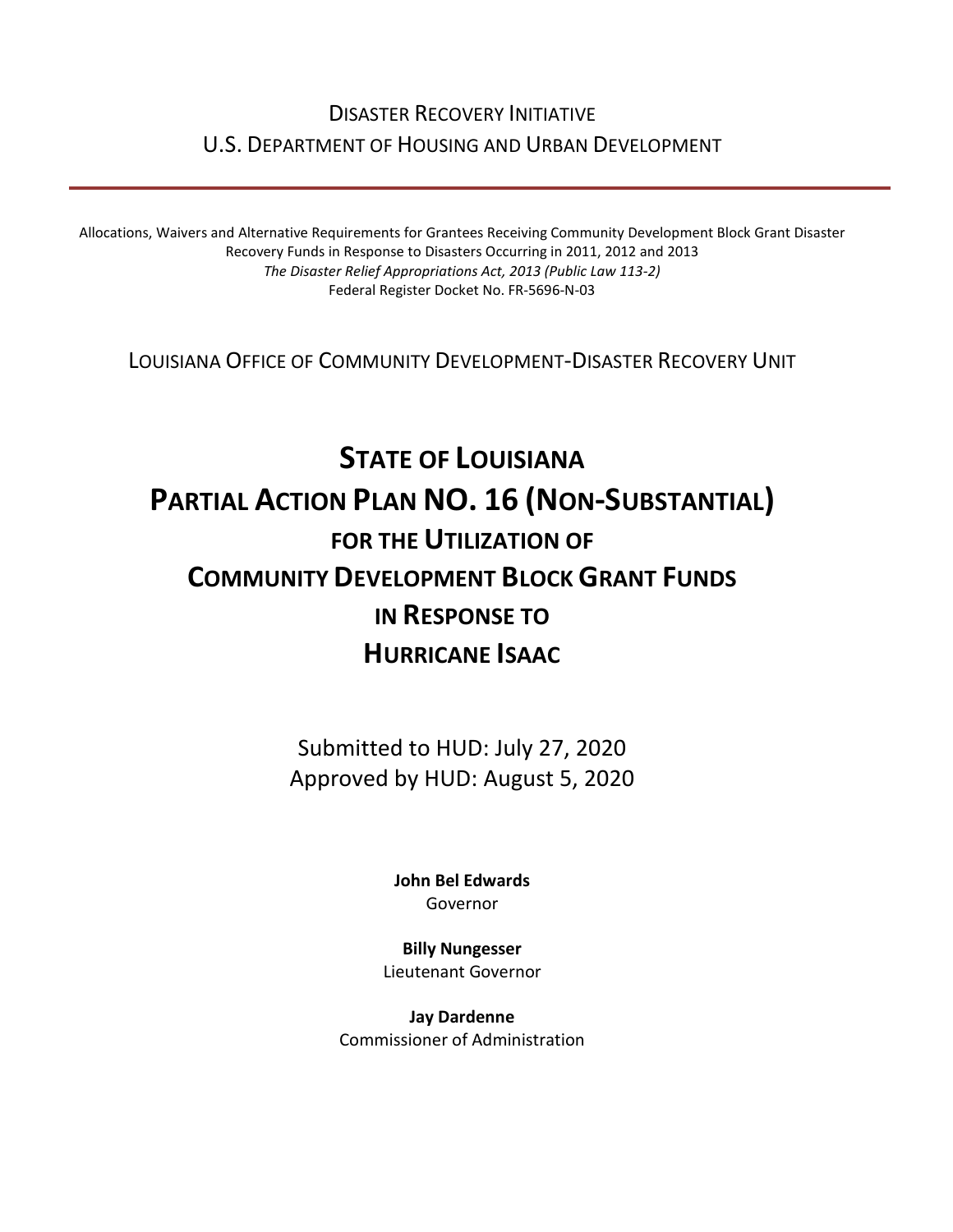# DISASTER RECOVERY INITIATIVE U.S. DEPARTMENT OF HOUSING AND URBAN DEVELOPMENT

Allocations, Waivers and Alternative Requirements for Grantees Receiving Community Development Block Grant Disaster Recovery Funds in Response to Disasters Occurring in 2011, 2012 and 2013 *The Disaster Relief Appropriations Act, 2013 (Public Law 113-2)* Federal Register Docket No. FR-5696-N-03

LOUISIANA OFFICE OF COMMUNITY DEVELOPMENT-DISASTER RECOVERY UNIT

# **STATE OF LOUISIANA PARTIAL ACTION PLAN NO. 16 (NON-SUBSTANTIAL) FOR THE UTILIZATION OF COMMUNITY DEVELOPMENT BLOCK GRANT FUNDS IN RESPONSE TO HURRICANE ISAAC**

Submitted to HUD: July 27, 2020 Approved by HUD: August 5, 2020

> **[John Bel Edwards](https://www.facebook.com/LouisianaGov/)** Governor

**Billy Nungesser** Lieutenant Governor

**Jay Dardenne** Commissioner of Administration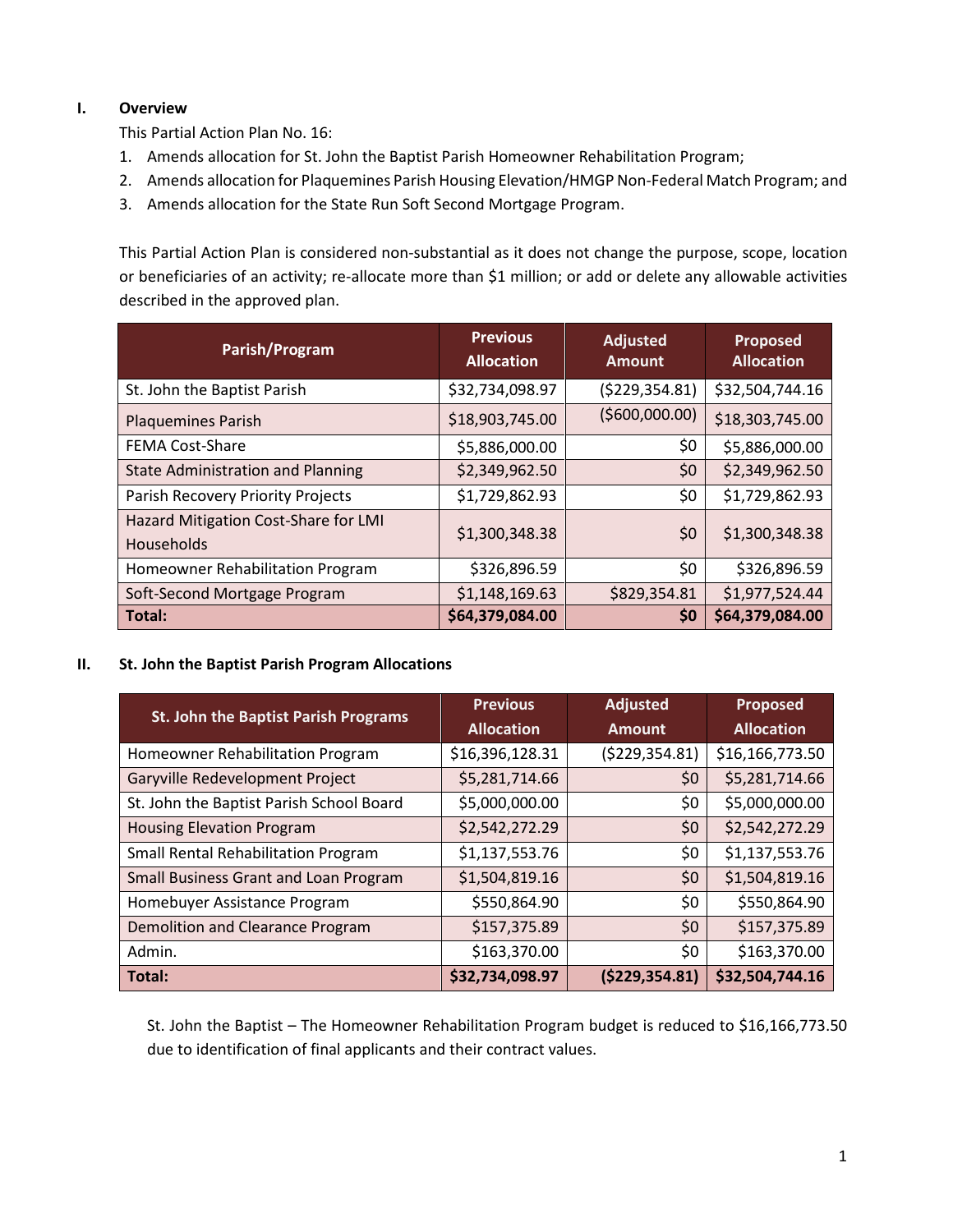## **I. Overview**

This Partial Action Plan No. 16:

- 1. Amends allocation for St. John the Baptist Parish Homeowner Rehabilitation Program;
- 2. Amends allocation for Plaquemines Parish Housing Elevation/HMGP Non-Federal Match Program; and
- 3. Amends allocation for the State Run Soft Second Mortgage Program.

This Partial Action Plan is considered non-substantial as it does not change the purpose, scope, location or beneficiaries of an activity; re-allocate more than \$1 million; or add or delete any allowable activities described in the approved plan.

| Parish/Program                                            | <b>Previous</b><br><b>Allocation</b> | <b>Adjusted</b><br><b>Amount</b> | <b>Proposed</b><br><b>Allocation</b> |
|-----------------------------------------------------------|--------------------------------------|----------------------------------|--------------------------------------|
| St. John the Baptist Parish                               | \$32,734,098.97                      | ( \$229, 354.81)                 | \$32,504,744.16                      |
| <b>Plaquemines Parish</b>                                 | \$18,903,745.00                      | ( \$600,000.00)                  | \$18,303,745.00                      |
| <b>FEMA Cost-Share</b>                                    | \$5,886,000.00                       | \$0                              | \$5,886,000.00                       |
| <b>State Administration and Planning</b>                  | \$2,349,962.50                       | \$0                              | \$2,349,962.50                       |
| Parish Recovery Priority Projects                         | \$1,729,862.93                       | \$0                              | \$1,729,862.93                       |
| Hazard Mitigation Cost-Share for LMI<br><b>Households</b> | \$1,300,348.38                       | \$0                              | \$1,300,348.38                       |
| Homeowner Rehabilitation Program                          | \$326,896.59                         | \$0                              | \$326,896.59                         |
| Soft-Second Mortgage Program                              | \$1,148,169.63                       | \$829,354.81                     | \$1,977,524.44                       |
| Total:                                                    | \$64,379,084.00                      | \$0                              | \$64,379,084.00                      |

#### **II. St. John the Baptist Parish Program Allocations**

| St. John the Baptist Parish Programs       | <b>Previous</b><br><b>Allocation</b> | <b>Adjusted</b><br><b>Amount</b> | <b>Proposed</b><br><b>Allocation</b> |
|--------------------------------------------|--------------------------------------|----------------------------------|--------------------------------------|
| Homeowner Rehabilitation Program           | \$16,396,128.31                      | (\$229,354.81)                   | \$16,166,773.50                      |
| Garyville Redevelopment Project            | \$5,281,714.66                       | \$0                              | \$5,281,714.66                       |
| St. John the Baptist Parish School Board   | \$5,000,000.00                       | \$0                              | \$5,000,000.00                       |
| <b>Housing Elevation Program</b>           | \$2,542,272.29                       | \$0                              | \$2,542,272.29                       |
| <b>Small Rental Rehabilitation Program</b> | \$1,137,553.76                       | \$0                              | \$1,137,553.76                       |
| Small Business Grant and Loan Program      | \$1,504,819.16                       | \$0                              | \$1,504,819.16                       |
| Homebuyer Assistance Program               | \$550,864.90                         | \$0                              | \$550,864.90                         |
| Demolition and Clearance Program           | \$157,375.89                         | \$0                              | \$157,375.89                         |
| Admin.                                     | \$163,370.00                         | \$0                              | \$163,370.00                         |
| Total:                                     | \$32,734,098.97                      | ( \$229, 354.81)                 | \$32,504,744.16                      |

St. John the Baptist – The Homeowner Rehabilitation Program budget is reduced to \$16,166,773.50 due to identification of final applicants and their contract values.